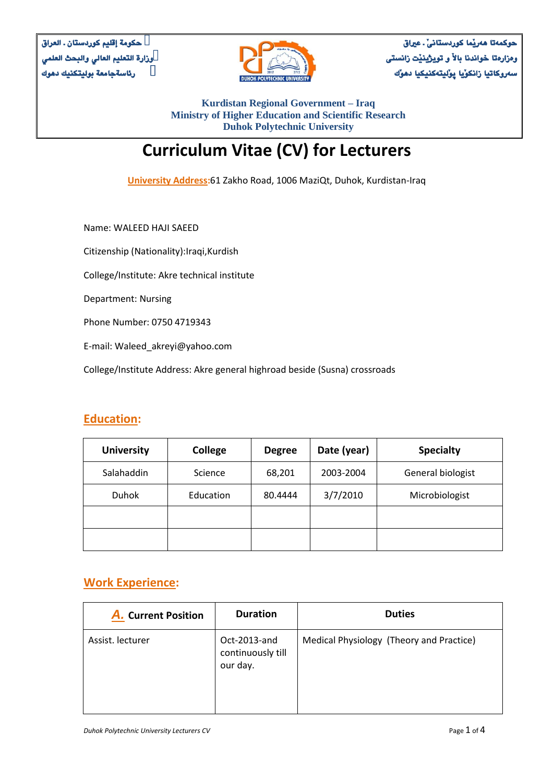

**حوكمةتا هةريَما كوردستانىَ ـ عرياق وةزارةتا خواندنا باالَ و تويذينيَت زانستى سةروكاتيا زانلوَيا ثوَليتةكنيليا دهوَك** 

**Kurdistan Regional Government – Iraq Ministry of Higher Education and Scientific Research Duhok Polytechnic University**

# **Curriculum Vitae (CV) for Lecturers**

**University Address:**61 Zakho Road, 1006 MaziQt, Duhok, Kurdistan-Iraq

Name: WALEED HAJI SAEED

Citizenship (Nationality):Iraqi,Kurdish

College/Institute: Akre technical institute

Department: Nursing

Phone Number: 0750 4719343

E-mail: Waleed\_akreyi@yahoo.com

College/Institute Address: Akre general highroad beside (Susna) crossroads

#### **Education:**

| <b>University</b> | <b>College</b> | <b>Degree</b> | Date (year) | <b>Specialty</b>  |
|-------------------|----------------|---------------|-------------|-------------------|
| Salahaddin        | Science        | 68,201        | 2003-2004   | General biologist |
| Duhok             | Education      | 80.4444       | 3/7/2010    | Microbiologist    |
|                   |                |               |             |                   |
|                   |                |               |             |                   |

#### **Work Experience:**

| <b>A.</b> Current Position | <b>Duration</b>                               | <b>Duties</b>                            |
|----------------------------|-----------------------------------------------|------------------------------------------|
| Assist. lecturer           | Oct-2013-and<br>continuously till<br>our day. | Medical Physiology (Theory and Practice) |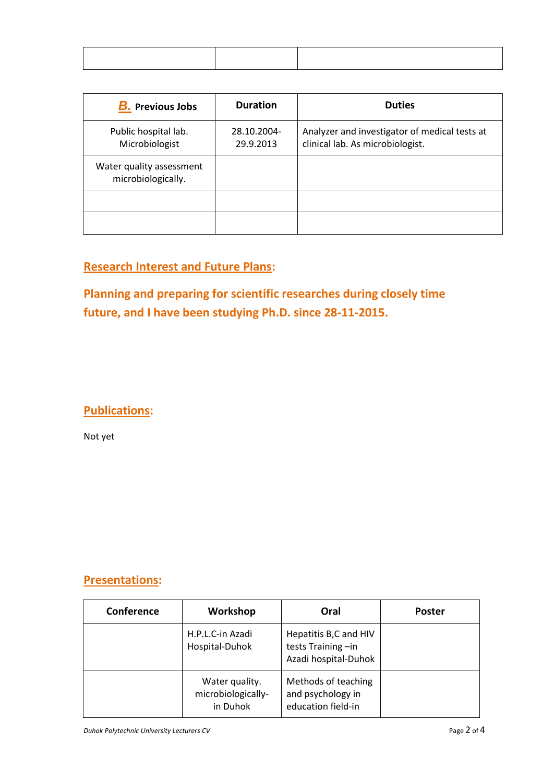| <b>B.</b> Previous Jobs                        | <b>Duration</b>          | <b>Duties</b>                                                                     |
|------------------------------------------------|--------------------------|-----------------------------------------------------------------------------------|
| Public hospital lab.<br>Microbiologist         | 28.10.2004-<br>29.9.2013 | Analyzer and investigator of medical tests at<br>clinical lab. As microbiologist. |
| Water quality assessment<br>microbiologically. |                          |                                                                                   |
|                                                |                          |                                                                                   |
|                                                |                          |                                                                                   |

# **Research Interest and Future Plans:**

**Planning and preparing for scientific researches during closely time future, and I have been studying Ph.D. since 28-11-2015.**

#### **Publications:**

Not yet

# **Presentations:**

| Conference | Workshop                                         | Oral                                                               | <b>Poster</b> |
|------------|--------------------------------------------------|--------------------------------------------------------------------|---------------|
|            | H.P.L.C-in Azadi<br>Hospital-Duhok               | Hepatitis B,C and HIV<br>tests Training-in<br>Azadi hospital-Duhok |               |
|            | Water quality.<br>microbiologically-<br>in Duhok | Methods of teaching<br>and psychology in<br>education field-in     |               |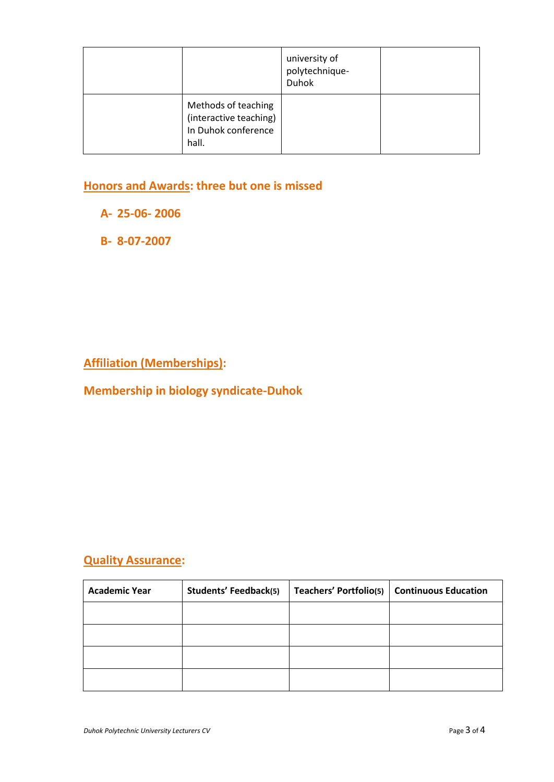|                                                                               | university of<br>polytechnique-<br>Duhok |  |
|-------------------------------------------------------------------------------|------------------------------------------|--|
| Methods of teaching<br>(interactive teaching)<br>In Duhok conference<br>hall. |                                          |  |

# **Honors and Awards: three but one is missed**

#### **A- 25-06- 2006**

**B- 8-07-2007**

# **Affiliation (Memberships):**

#### **Membership in biology syndicate-Duhok**

### **Quality Assurance:**

| <b>Academic Year</b> | <b>Students' Feedback(5)</b> | Teachers' Portfolio(5)   Continuous Education |
|----------------------|------------------------------|-----------------------------------------------|
|                      |                              |                                               |
|                      |                              |                                               |
|                      |                              |                                               |
|                      |                              |                                               |